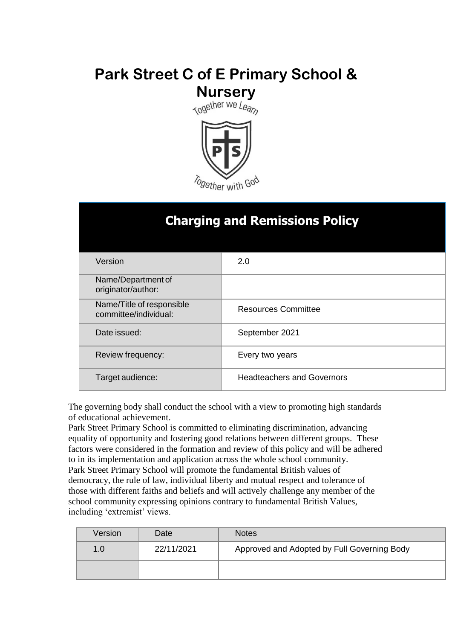# **Park Street C of E Primary School & Nursery**<br>Together we Learn



| <b>Charging and Remissions Policy</b>              |                                   |  |
|----------------------------------------------------|-----------------------------------|--|
| Version                                            | 2.0                               |  |
| Name/Department of<br>originator/author:           |                                   |  |
| Name/Title of responsible<br>committee/individual: | <b>Resources Committee</b>        |  |
| Date issued:                                       | September 2021                    |  |
| Review frequency:                                  | Every two years                   |  |
| Target audience:                                   | <b>Headteachers and Governors</b> |  |

The governing body shall conduct the school with a view to promoting high standards of educational achievement.

Park Street Primary School is committed to eliminating discrimination, advancing equality of opportunity and fostering good relations between different groups. These factors were considered in the formation and review of this policy and will be adhered to in its implementation and application across the whole school community. Park Street Primary School will promote the fundamental British values of democracy, the rule of law, individual liberty and mutual respect and tolerance of those with different faiths and beliefs and will actively challenge any member of the school community expressing opinions contrary to fundamental British Values, including 'extremist' views.

| Version | Date       | <b>Notes</b>                                |
|---------|------------|---------------------------------------------|
| 1.0     | 22/11/2021 | Approved and Adopted by Full Governing Body |
|         |            |                                             |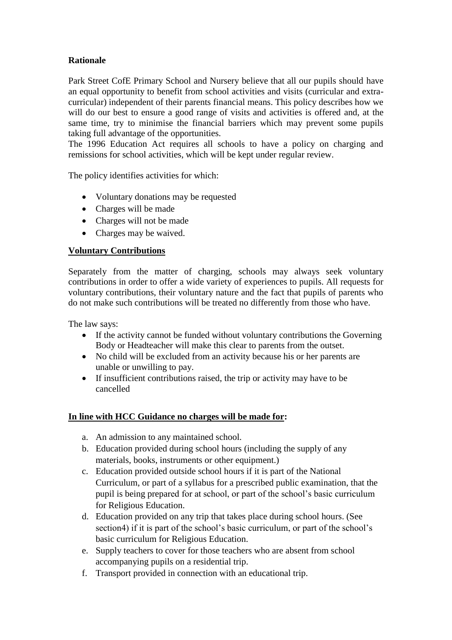# **Rationale**

Park Street CofE Primary School and Nursery believe that all our pupils should have an equal opportunity to benefit from school activities and visits (curricular and extracurricular) independent of their parents financial means. This policy describes how we will do our best to ensure a good range of visits and activities is offered and, at the same time, try to minimise the financial barriers which may prevent some pupils taking full advantage of the opportunities.

The 1996 Education Act requires all schools to have a policy on charging and remissions for school activities, which will be kept under regular review.

The policy identifies activities for which:

- Voluntary donations may be requested
- Charges will be made
- Charges will not be made
- Charges may be waived.

# **Voluntary Contributions**

Separately from the matter of charging, schools may always seek voluntary contributions in order to offer a wide variety of experiences to pupils. All requests for voluntary contributions, their voluntary nature and the fact that pupils of parents who do not make such contributions will be treated no differently from those who have.

The law says:

- If the activity cannot be funded without voluntary contributions the Governing Body or Headteacher will make this clear to parents from the outset.
- No child will be excluded from an activity because his or her parents are unable or unwilling to pay.
- If insufficient contributions raised, the trip or activity may have to be cancelled

# **In line with HCC Guidance no charges will be made for:**

- a. An admission to any maintained school.
- b. Education provided during school hours (including the supply of any materials, books, instruments or other equipment.)
- c. Education provided outside school hours if it is part of the National Curriculum, or part of a syllabus for a prescribed public examination, that the pupil is being prepared for at school, or part of the school's basic curriculum for Religious Education.
- d. Education provided on any trip that takes place during school hours. (See section4) if it is part of the school's basic curriculum, or part of the school's basic curriculum for Religious Education.
- e. Supply teachers to cover for those teachers who are absent from school accompanying pupils on a residential trip.
- f. Transport provided in connection with an educational trip.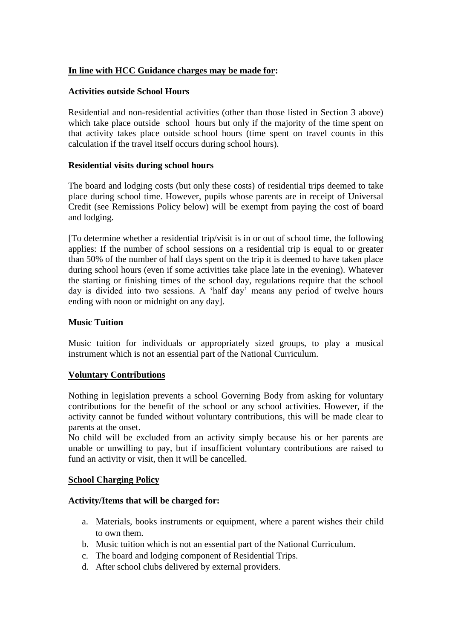# **In line with HCC Guidance charges may be made for:**

#### **Activities outside School Hours**

Residential and non-residential activities (other than those listed in Section 3 above) which take place outside school hours but only if the majority of the time spent on that activity takes place outside school hours (time spent on travel counts in this calculation if the travel itself occurs during school hours).

## **Residential visits during school hours**

The board and lodging costs (but only these costs) of residential trips deemed to take place during school time. However, pupils whose parents are in receipt of Universal Credit (see Remissions Policy below) will be exempt from paying the cost of board and lodging.

[To determine whether a residential trip/visit is in or out of school time, the following applies: If the number of school sessions on a residential trip is equal to or greater than 50% of the number of half days spent on the trip it is deemed to have taken place during school hours (even if some activities take place late in the evening). Whatever the starting or finishing times of the school day, regulations require that the school day is divided into two sessions. A 'half day' means any period of twelve hours ending with noon or midnight on any day].

#### **Music Tuition**

Music tuition for individuals or appropriately sized groups, to play a musical instrument which is not an essential part of the National Curriculum.

#### **Voluntary Contributions**

Nothing in legislation prevents a school Governing Body from asking for voluntary contributions for the benefit of the school or any school activities. However, if the activity cannot be funded without voluntary contributions, this will be made clear to parents at the onset.

No child will be excluded from an activity simply because his or her parents are unable or unwilling to pay, but if insufficient voluntary contributions are raised to fund an activity or visit, then it will be cancelled.

#### **School Charging Policy**

#### **Activity/Items that will be charged for:**

- a. Materials, books instruments or equipment, where a parent wishes their child to own them.
- b. Music tuition which is not an essential part of the National Curriculum.
- c. The board and lodging component of Residential Trips.
- d. After school clubs delivered by external providers.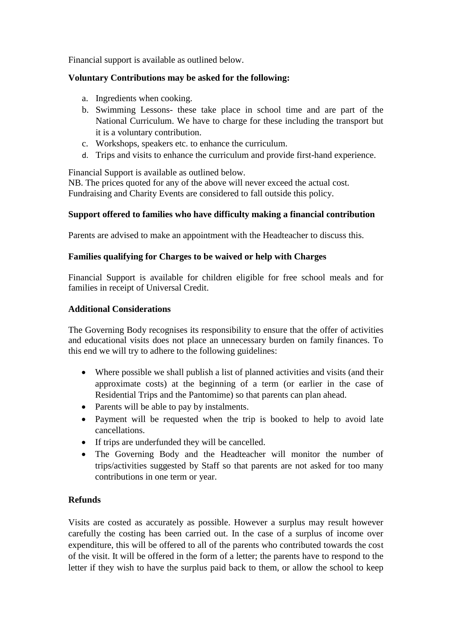Financial support is available as outlined below.

# **Voluntary Contributions may be asked for the following:**

- a. Ingredients when cooking.
- b. Swimming Lessons- these take place in school time and are part of the National Curriculum. We have to charge for these including the transport but it is a voluntary contribution.
- c. Workshops, speakers etc. to enhance the curriculum.
- d. Trips and visits to enhance the curriculum and provide first-hand experience.

Financial Support is available as outlined below.

NB. The prices quoted for any of the above will never exceed the actual cost. Fundraising and Charity Events are considered to fall outside this policy.

## **Support offered to families who have difficulty making a financial contribution**

Parents are advised to make an appointment with the Headteacher to discuss this.

## **Families qualifying for Charges to be waived or help with Charges**

Financial Support is available for children eligible for free school meals and for families in receipt of Universal Credit.

#### **Additional Considerations**

The Governing Body recognises its responsibility to ensure that the offer of activities and educational visits does not place an unnecessary burden on family finances. To this end we will try to adhere to the following guidelines:

- Where possible we shall publish a list of planned activities and visits (and their approximate costs) at the beginning of a term (or earlier in the case of Residential Trips and the Pantomime) so that parents can plan ahead.
- Parents will be able to pay by instalments.
- Payment will be requested when the trip is booked to help to avoid late cancellations.
- If trips are underfunded they will be cancelled.
- The Governing Body and the Headteacher will monitor the number of trips/activities suggested by Staff so that parents are not asked for too many contributions in one term or year.

#### **Refunds**

Visits are costed as accurately as possible. However a surplus may result however carefully the costing has been carried out. In the case of a surplus of income over expenditure, this will be offered to all of the parents who contributed towards the cost of the visit. It will be offered in the form of a letter; the parents have to respond to the letter if they wish to have the surplus paid back to them, or allow the school to keep